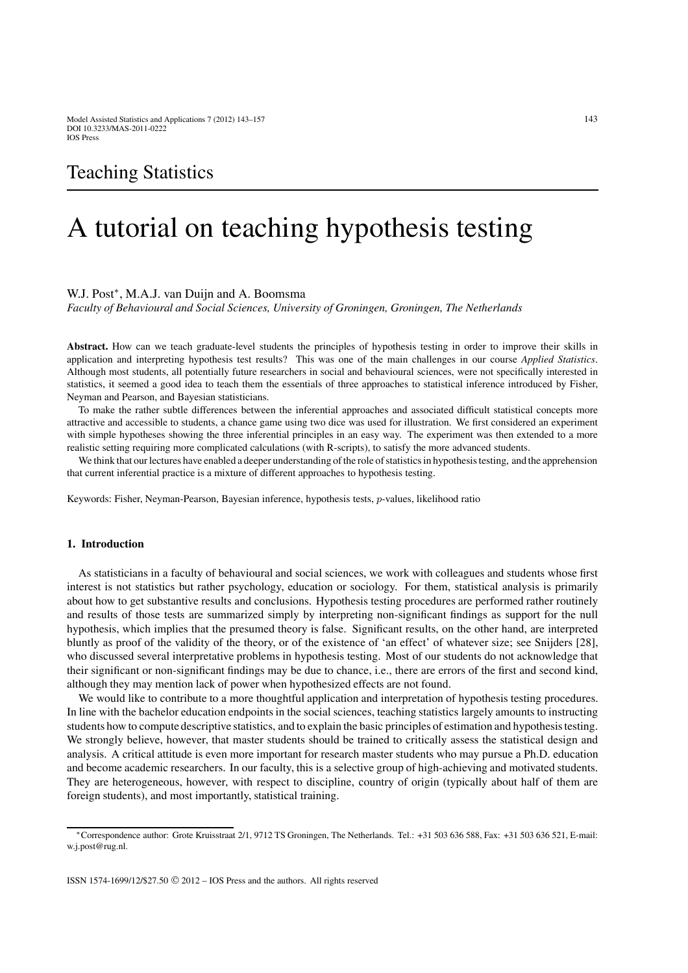# Teaching Statistics

# A tutorial on teaching hypothesis testing

#### W.J. Post<sup>∗</sup>, M.A.J. van Duijn and A. Boomsma

*Faculty of Behavioural and Social Sciences, University of Groningen, Groningen, The Netherlands*

**Abstract.** How can we teach graduate-level students the principles of hypothesis testing in order to improve their skills in application and interpreting hypothesis test results? This was one of the main challenges in our course *Applied Statistics*. Although most students, all potentially future researchers in social and behavioural sciences, were not specifically interested in statistics, it seemed a good idea to teach them the essentials of three approaches to statistical inference introduced by Fisher, Neyman and Pearson, and Bayesian statisticians.

To make the rather subtle differences between the inferential approaches and associated difficult statistical concepts more attractive and accessible to students, a chance game using two dice was used for illustration. We first considered an experiment with simple hypotheses showing the three inferential principles in an easy way. The experiment was then extended to a more realistic setting requiring more complicated calculations (with R-scripts), to satisfy the more advanced students.

We think that our lectures have enabled a deeper understanding of the role of statistics in hypothesis testing, and the apprehension that current inferential practice is a mixture of different approaches to hypothesis testing.

Keywords: Fisher, Neyman-Pearson, Bayesian inference, hypothesis tests, *p*-values, likelihood ratio

# **1. Introduction**

As statisticians in a faculty of behavioural and social sciences, we work with colleagues and students whose first interest is not statistics but rather psychology, education or sociology. For them, statistical analysis is primarily about how to get substantive results and conclusions. Hypothesis testing procedures are performed rather routinely and results of those tests are summarized simply by interpreting non-significant findings as support for the null hypothesis, which implies that the presumed theory is false. Significant results, on the other hand, are interpreted bluntly as proof of the validity of the theory, or of the existence of 'an effect' of whatever size; see Snijders [28], who discussed several interpretative problems in hypothesis testing. Most of our students do not acknowledge that their significant or non-significant findings may be due to chance, i.e., there are errors of the first and second kind, although they may mention lack of power when hypothesized effects are not found.

We would like to contribute to a more thoughtful application and interpretation of hypothesis testing procedures. In line with the bachelor education endpoints in the social sciences, teaching statistics largely amounts to instructing students how to compute descriptive statistics, and to explain the basic principles of estimation and hypothesis testing. We strongly believe, however, that master students should be trained to critically assess the statistical design and analysis. A critical attitude is even more important for research master students who may pursue a Ph.D. education and become academic researchers. In our faculty, this is a selective group of high-achieving and motivated students. They are heterogeneous, however, with respect to discipline, country of origin (typically about half of them are foreign students), and most importantly, statistical training.

<sup>∗</sup>Correspondence author: Grote Kruisstraat 2/1, 9712 TS Groningen, The Netherlands. Tel.: +31 503 636 588, Fax: +31 503 636 521, E-mail: w.j.post@rug.nl.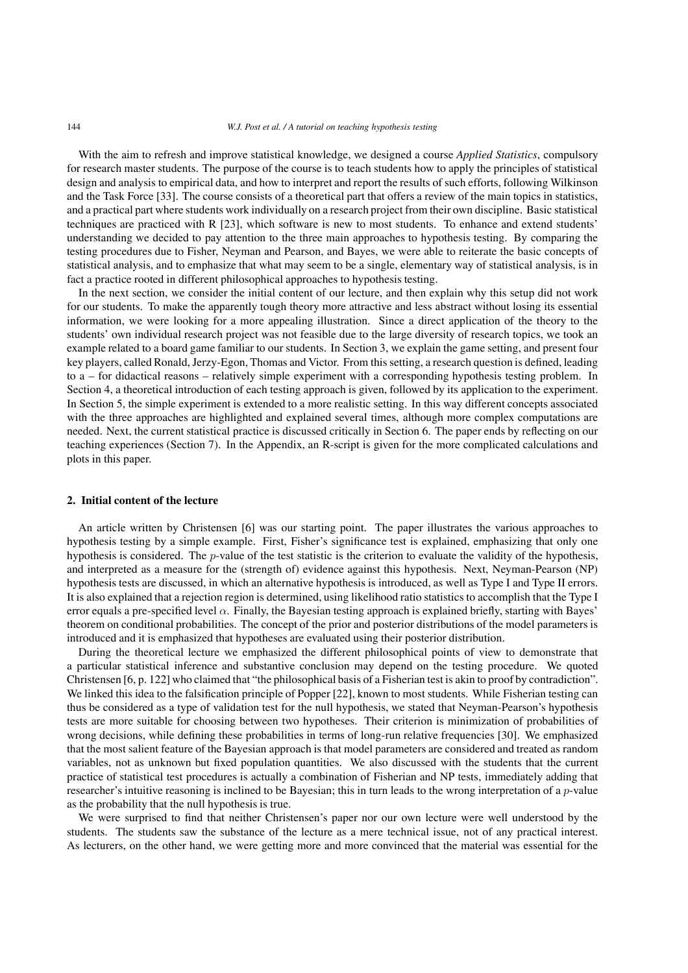#### 144 *W.J. Post et al. / A tutorial on teaching hypothesis testing*

With the aim to refresh and improve statistical knowledge, we designed a course *Applied Statistics*, compulsory for research master students. The purpose of the course is to teach students how to apply the principles of statistical design and analysis to empirical data, and how to interpret and report the results of such efforts, following Wilkinson and the Task Force [33]. The course consists of a theoretical part that offers a review of the main topics in statistics, and a practical part where students work individually on a research project from their own discipline. Basic statistical techniques are practiced with R [23], which software is new to most students. To enhance and extend students' understanding we decided to pay attention to the three main approaches to hypothesis testing. By comparing the testing procedures due to Fisher, Neyman and Pearson, and Bayes, we were able to reiterate the basic concepts of statistical analysis, and to emphasize that what may seem to be a single, elementary way of statistical analysis, is in fact a practice rooted in different philosophical approaches to hypothesis testing.

In the next section, we consider the initial content of our lecture, and then explain why this setup did not work for our students. To make the apparently tough theory more attractive and less abstract without losing its essential information, we were looking for a more appealing illustration. Since a direct application of the theory to the students' own individual research project was not feasible due to the large diversity of research topics, we took an example related to a board game familiar to our students. In Section 3, we explain the game setting, and present four key players, called Ronald, Jerzy-Egon, Thomas and Victor. From this setting, a research question is defined, leading to a – for didactical reasons – relatively simple experiment with a corresponding hypothesis testing problem. In Section 4, a theoretical introduction of each testing approach is given, followed by its application to the experiment. In Section 5, the simple experiment is extended to a more realistic setting. In this way different concepts associated with the three approaches are highlighted and explained several times, although more complex computations are needed. Next, the current statistical practice is discussed critically in Section 6. The paper ends by reflecting on our teaching experiences (Section 7). In the Appendix, an R-script is given for the more complicated calculations and plots in this paper.

# **2. Initial content of the lecture**

An article written by Christensen [6] was our starting point. The paper illustrates the various approaches to hypothesis testing by a simple example. First, Fisher's significance test is explained, emphasizing that only one hypothesis is considered. The p-value of the test statistic is the criterion to evaluate the validity of the hypothesis, and interpreted as a measure for the (strength of) evidence against this hypothesis. Next, Neyman-Pearson (NP) hypothesis tests are discussed, in which an alternative hypothesis is introduced, as well as Type I and Type II errors. It is also explained that a rejection region is determined, using likelihood ratio statistics to accomplish that the Type I error equals a pre-specified level  $\alpha$ . Finally, the Bayesian testing approach is explained briefly, starting with Bayes' theorem on conditional probabilities. The concept of the prior and posterior distributions of the model parameters is introduced and it is emphasized that hypotheses are evaluated using their posterior distribution.

During the theoretical lecture we emphasized the different philosophical points of view to demonstrate that a particular statistical inference and substantive conclusion may depend on the testing procedure. We quoted Christensen [6, p. 122] who claimed that "the philosophical basis of a Fisherian test is akin to proof by contradiction". We linked this idea to the falsification principle of Popper [22], known to most students. While Fisherian testing can thus be considered as a type of validation test for the null hypothesis, we stated that Neyman-Pearson's hypothesis tests are more suitable for choosing between two hypotheses. Their criterion is minimization of probabilities of wrong decisions, while defining these probabilities in terms of long-run relative frequencies [30]. We emphasized that the most salient feature of the Bayesian approach is that model parameters are considered and treated as random variables, not as unknown but fixed population quantities. We also discussed with the students that the current practice of statistical test procedures is actually a combination of Fisherian and NP tests, immediately adding that researcher's intuitive reasoning is inclined to be Bayesian; this in turn leads to the wrong interpretation of a  $p$ -value as the probability that the null hypothesis is true.

We were surprised to find that neither Christensen's paper nor our own lecture were well understood by the students. The students saw the substance of the lecture as a mere technical issue, not of any practical interest. As lecturers, on the other hand, we were getting more and more convinced that the material was essential for the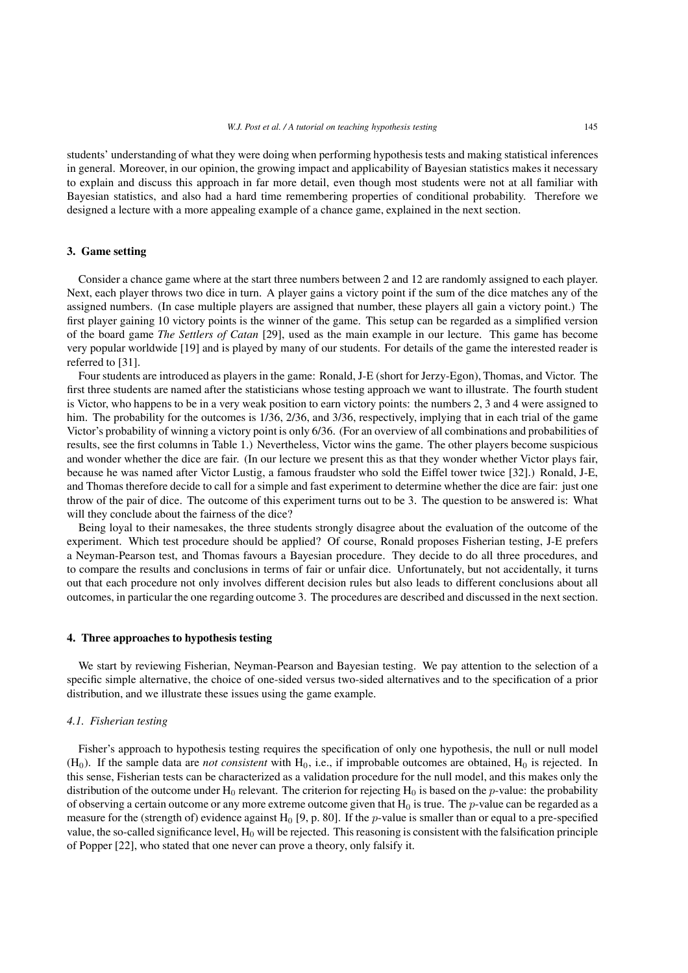students' understanding of what they were doing when performing hypothesis tests and making statistical inferences in general. Moreover, in our opinion, the growing impact and applicability of Bayesian statistics makes it necessary to explain and discuss this approach in far more detail, even though most students were not at all familiar with Bayesian statistics, and also had a hard time remembering properties of conditional probability. Therefore we designed a lecture with a more appealing example of a chance game, explained in the next section.

# **3. Game setting**

Consider a chance game where at the start three numbers between 2 and 12 are randomly assigned to each player. Next, each player throws two dice in turn. A player gains a victory point if the sum of the dice matches any of the assigned numbers. (In case multiple players are assigned that number, these players all gain a victory point.) The first player gaining 10 victory points is the winner of the game. This setup can be regarded as a simplified version of the board game *The Settlers of Catan* [29], used as the main example in our lecture. This game has become very popular worldwide [19] and is played by many of our students. For details of the game the interested reader is referred to [31].

Four students are introduced as players in the game: Ronald, J-E (short for Jerzy-Egon), Thomas, and Victor. The first three students are named after the statisticians whose testing approach we want to illustrate. The fourth student is Victor, who happens to be in a very weak position to earn victory points: the numbers 2, 3 and 4 were assigned to him. The probability for the outcomes is 1/36, 2/36, and 3/36, respectively, implying that in each trial of the game Victor's probability of winning a victory point is only 6/36. (For an overview of all combinations and probabilities of results, see the first columns in Table 1.) Nevertheless, Victor wins the game. The other players become suspicious and wonder whether the dice are fair. (In our lecture we present this as that they wonder whether Victor plays fair, because he was named after Victor Lustig, a famous fraudster who sold the Eiffel tower twice [32].) Ronald, J-E, and Thomas therefore decide to call for a simple and fast experiment to determine whether the dice are fair: just one throw of the pair of dice. The outcome of this experiment turns out to be 3. The question to be answered is: What will they conclude about the fairness of the dice?

Being loyal to their namesakes, the three students strongly disagree about the evaluation of the outcome of the experiment. Which test procedure should be applied? Of course, Ronald proposes Fisherian testing, J-E prefers a Neyman-Pearson test, and Thomas favours a Bayesian procedure. They decide to do all three procedures, and to compare the results and conclusions in terms of fair or unfair dice. Unfortunately, but not accidentally, it turns out that each procedure not only involves different decision rules but also leads to different conclusions about all outcomes, in particular the one regarding outcome 3. The procedures are described and discussed in the next section.

# **4. Three approaches to hypothesis testing**

We start by reviewing Fisherian, Neyman-Pearson and Bayesian testing. We pay attention to the selection of a specific simple alternative, the choice of one-sided versus two-sided alternatives and to the specification of a prior distribution, and we illustrate these issues using the game example.

#### *4.1. Fisherian testing*

Fisher's approach to hypothesis testing requires the specification of only one hypothesis, the null or null model  $(H<sub>0</sub>)$ . If the sample data are *not consistent* with  $H<sub>0</sub>$ , i.e., if improbable outcomes are obtained,  $H<sub>0</sub>$  is rejected. In this sense, Fisherian tests can be characterized as a validation procedure for the null model, and this makes only the distribution of the outcome under  $H_0$  relevant. The criterion for rejecting  $H_0$  is based on the *p*-value: the probability of observing a certain outcome or any more extreme outcome given that  $H_0$  is true. The p-value can be regarded as a measure for the (strength of) evidence against  $H_0$  [9, p. 80]. If the p-value is smaller than or equal to a pre-specified value, the so-called significance level,  $H_0$  will be rejected. This reasoning is consistent with the falsification principle of Popper [22], who stated that one never can prove a theory, only falsify it.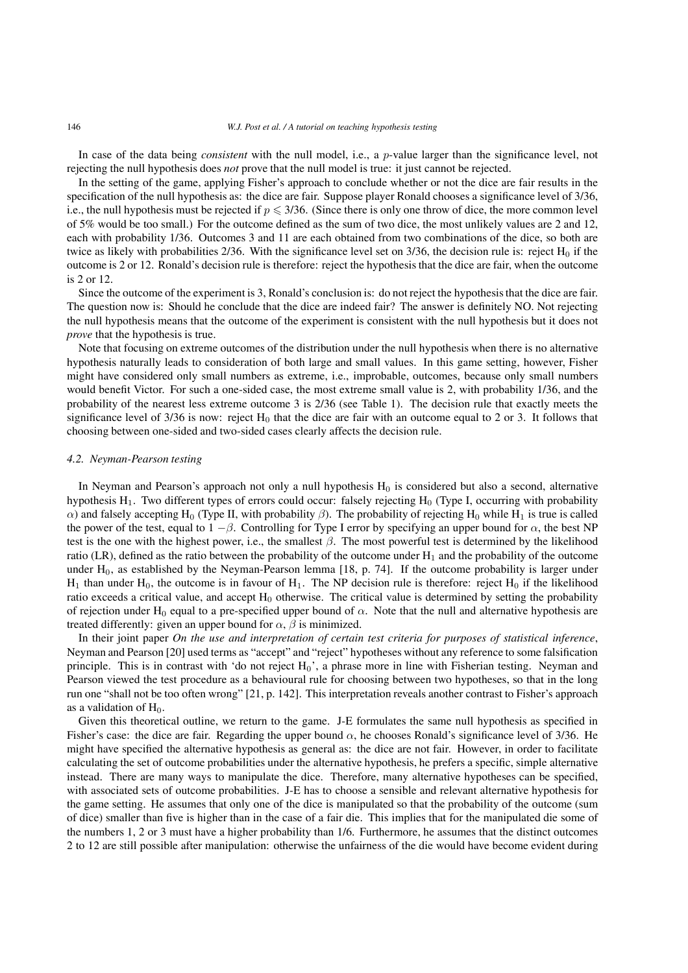In case of the data being *consistent* with the null model, i.e., a p-value larger than the significance level, not rejecting the null hypothesis does *not* prove that the null model is true: it just cannot be rejected.

In the setting of the game, applying Fisher's approach to conclude whether or not the dice are fair results in the specification of the null hypothesis as: the dice are fair. Suppose player Ronald chooses a significance level of 3/36, i.e., the null hypothesis must be rejected if  $p \leq 3/36$ . (Since there is only one throw of dice, the more common level of 5% would be too small.) For the outcome defined as the sum of two dice, the most unlikely values are 2 and 12, each with probability 1/36. Outcomes 3 and 11 are each obtained from two combinations of the dice, so both are twice as likely with probabilities 2/36. With the significance level set on  $3/36$ , the decision rule is: reject  $H_0$  if the outcome is 2 or 12. Ronald's decision rule is therefore: reject the hypothesis that the dice are fair, when the outcome is 2 or 12.

Since the outcome of the experiment is 3, Ronald's conclusion is: do not reject the hypothesis that the dice are fair. The question now is: Should he conclude that the dice are indeed fair? The answer is definitely NO. Not rejecting the null hypothesis means that the outcome of the experiment is consistent with the null hypothesis but it does not *prove* that the hypothesis is true.

Note that focusing on extreme outcomes of the distribution under the null hypothesis when there is no alternative hypothesis naturally leads to consideration of both large and small values. In this game setting, however, Fisher might have considered only small numbers as extreme, i.e., improbable, outcomes, because only small numbers would benefit Victor. For such a one-sided case, the most extreme small value is 2, with probability 1/36, and the probability of the nearest less extreme outcome 3 is 2/36 (see Table 1). The decision rule that exactly meets the significance level of  $3/36$  is now: reject  $H_0$  that the dice are fair with an outcome equal to 2 or 3. It follows that choosing between one-sided and two-sided cases clearly affects the decision rule.

#### *4.2. Neyman-Pearson testing*

In Neyman and Pearson's approach not only a null hypothesis  $H_0$  is considered but also a second, alternative hypothesis  $H_1$ . Two different types of errors could occur: falsely rejecting  $H_0$  (Type I, occurring with probability  $α)$  and falsely accepting H<sub>0</sub> (Type II, with probability β). The probability of rejecting H<sub>0</sub> while H<sub>1</sub> is true is called the power of the test, equal to  $1 - \beta$ . Controlling for Type I error by specifying an upper bound for  $\alpha$ , the best NP test is the one with the highest power, i.e., the smallest  $\beta$ . The most powerful test is determined by the likelihood ratio (LR), defined as the ratio between the probability of the outcome under  $H_1$  and the probability of the outcome under  $H_0$ , as established by the Neyman-Pearson lemma [18, p. 74]. If the outcome probability is larger under  $H_1$  than under  $H_0$ , the outcome is in favour of  $H_1$ . The NP decision rule is therefore: reject  $H_0$  if the likelihood ratio exceeds a critical value, and accept  $H_0$  otherwise. The critical value is determined by setting the probability of rejection under H<sub>0</sub> equal to a pre-specified upper bound of  $\alpha$ . Note that the null and alternative hypothesis are treated differently: given an upper bound for  $\alpha$ ,  $\beta$  is minimized.

In their joint paper *On the use and interpretation of certain test criteria for purposes of statistical inference*, Neyman and Pearson [20] used terms as "accept" and "reject" hypotheses without any reference to some falsification principle. This is in contrast with 'do not reject  $H_0$ ', a phrase more in line with Fisherian testing. Neyman and Pearson viewed the test procedure as a behavioural rule for choosing between two hypotheses, so that in the long run one "shall not be too often wrong" [21, p. 142]. This interpretation reveals another contrast to Fisher's approach as a validation of  $H_0$ .

Given this theoretical outline, we return to the game. J-E formulates the same null hypothesis as specified in Fisher's case: the dice are fair. Regarding the upper bound  $\alpha$ , he chooses Ronald's significance level of 3/36. He might have specified the alternative hypothesis as general as: the dice are not fair. However, in order to facilitate calculating the set of outcome probabilities under the alternative hypothesis, he prefers a specific, simple alternative instead. There are many ways to manipulate the dice. Therefore, many alternative hypotheses can be specified, with associated sets of outcome probabilities. J-E has to choose a sensible and relevant alternative hypothesis for the game setting. He assumes that only one of the dice is manipulated so that the probability of the outcome (sum of dice) smaller than five is higher than in the case of a fair die. This implies that for the manipulated die some of the numbers 1, 2 or 3 must have a higher probability than 1/6. Furthermore, he assumes that the distinct outcomes 2 to 12 are still possible after manipulation: otherwise the unfairness of the die would have become evident during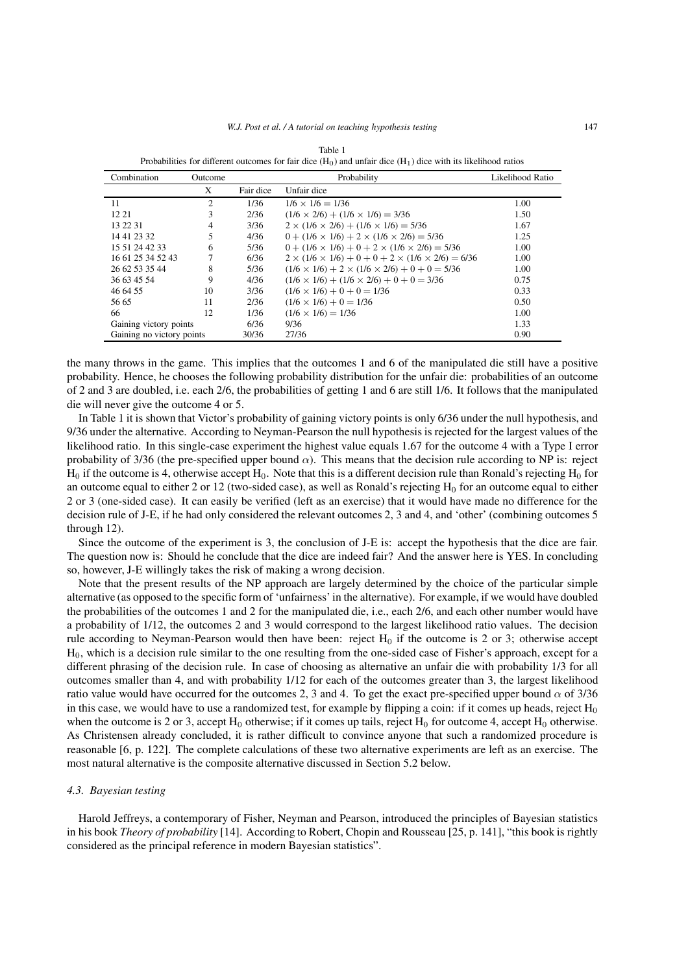| Combination               | Outcome                     |           | Probability                                                            | Likelihood Ratio |
|---------------------------|-----------------------------|-----------|------------------------------------------------------------------------|------------------|
|                           | X                           | Fair dice | Unfair dice                                                            |                  |
| 11                        | $\mathcal{D}_{\mathcal{A}}$ | 1/36      | $1/6 \times 1/6 = 1/36$                                                | 1.00             |
| 12 21                     | 3                           | 2/36      | $(1/6 \times 2/6) + (1/6 \times 1/6) = 3/36$                           | 1.50             |
| 13 22 31                  | 4                           | 3/36      | $2 \times (1/6 \times 2/6) + (1/6 \times 1/6) = 5/36$                  | 1.67             |
| 14 41 23 32               | 5                           | 4/36      | $0 + (1/6 \times 1/6) + 2 \times (1/6 \times 2/6) = 5/36$              | 1.25             |
| 15 51 24 42 33            | 6                           | 5/36      | $0 + (1/6 \times 1/6) + 0 + 2 \times (1/6 \times 2/6) = 5/36$          | 1.00             |
| 16 61 25 34 52 43         |                             | 6/36      | $2 \times (1/6 \times 1/6) + 0 + 0 + 2 \times (1/6 \times 2/6) = 6/36$ | 1.00             |
| 26 62 53 35 44            | 8                           | 5/36      | $(1/6 \times 1/6) + 2 \times (1/6 \times 2/6) + 0 + 0 = 5/36$          | 1.00             |
| 36 63 45 54               | 9                           | 4/36      | $(1/6 \times 1/6) + (1/6 \times 2/6) + 0 + 0 = 3/36$                   | 0.75             |
| 46 64 55                  | 10                          | 3/36      | $(1/6 \times 1/6) + 0 + 0 = 1/36$                                      | 0.33             |
| 56 65                     | 11                          | 2/36      | $(1/6 \times 1/6) + 0 = 1/36$                                          | 0.50             |
| 66                        | 12                          | 1/36      | $(1/6 \times 1/6) = 1/36$                                              | 1.00             |
| Gaining victory points    |                             | 6/36      | 9/36                                                                   | 1.33             |
| Gaining no victory points |                             | 30/36     | 27/36                                                                  | 0.90             |

Table 1 Probabilities for different outcomes for fair dice  $(H_0)$  and unfair dice  $(H_1)$  dice with its likelihood ratios

the many throws in the game. This implies that the outcomes 1 and 6 of the manipulated die still have a positive probability. Hence, he chooses the following probability distribution for the unfair die: probabilities of an outcome of 2 and 3 are doubled, i.e. each 2/6, the probabilities of getting 1 and 6 are still 1/6. It follows that the manipulated die will never give the outcome 4 or 5.

In Table 1 it is shown that Victor's probability of gaining victory points is only 6/36 under the null hypothesis, and 9/36 under the alternative. According to Neyman-Pearson the null hypothesis is rejected for the largest values of the likelihood ratio. In this single-case experiment the highest value equals 1.67 for the outcome 4 with a Type I error probability of 3/36 (the pre-specified upper bound  $\alpha$ ). This means that the decision rule according to NP is: reject  $H_0$  if the outcome is 4, otherwise accept  $H_0$ . Note that this is a different decision rule than Ronald's rejecting  $H_0$  for an outcome equal to either 2 or 12 (two-sided case), as well as Ronald's rejecting  $H_0$  for an outcome equal to either 2 or 3 (one-sided case). It can easily be verified (left as an exercise) that it would have made no difference for the decision rule of J-E, if he had only considered the relevant outcomes 2, 3 and 4, and 'other' (combining outcomes 5 through 12).

Since the outcome of the experiment is 3, the conclusion of J-E is: accept the hypothesis that the dice are fair. The question now is: Should he conclude that the dice are indeed fair? And the answer here is YES. In concluding so, however, J-E willingly takes the risk of making a wrong decision.

Note that the present results of the NP approach are largely determined by the choice of the particular simple alternative (as opposed to the specific form of 'unfairness' in the alternative). For example, if we would have doubled the probabilities of the outcomes 1 and 2 for the manipulated die, i.e., each 2/6, and each other number would have a probability of 1/12, the outcomes 2 and 3 would correspond to the largest likelihood ratio values. The decision rule according to Neyman-Pearson would then have been: reject  $H_0$  if the outcome is 2 or 3; otherwise accept H0, which is a decision rule similar to the one resulting from the one-sided case of Fisher's approach, except for a different phrasing of the decision rule. In case of choosing as alternative an unfair die with probability 1/3 for all outcomes smaller than 4, and with probability 1/12 for each of the outcomes greater than 3, the largest likelihood ratio value would have occurred for the outcomes 2, 3 and 4. To get the exact pre-specified upper bound  $\alpha$  of 3/36 in this case, we would have to use a randomized test, for example by flipping a coin: if it comes up heads, reject  $H_0$ when the outcome is 2 or 3, accept  $H_0$  otherwise; if it comes up tails, reject  $H_0$  for outcome 4, accept  $H_0$  otherwise. As Christensen already concluded, it is rather difficult to convince anyone that such a randomized procedure is reasonable [6, p. 122]. The complete calculations of these two alternative experiments are left as an exercise. The most natural alternative is the composite alternative discussed in Section 5.2 below.

# *4.3. Bayesian testing*

Harold Jeffreys, a contemporary of Fisher, Neyman and Pearson, introduced the principles of Bayesian statistics in his book *Theory of probability* [14]. According to Robert, Chopin and Rousseau [25, p. 141], "this book is rightly considered as the principal reference in modern Bayesian statistics".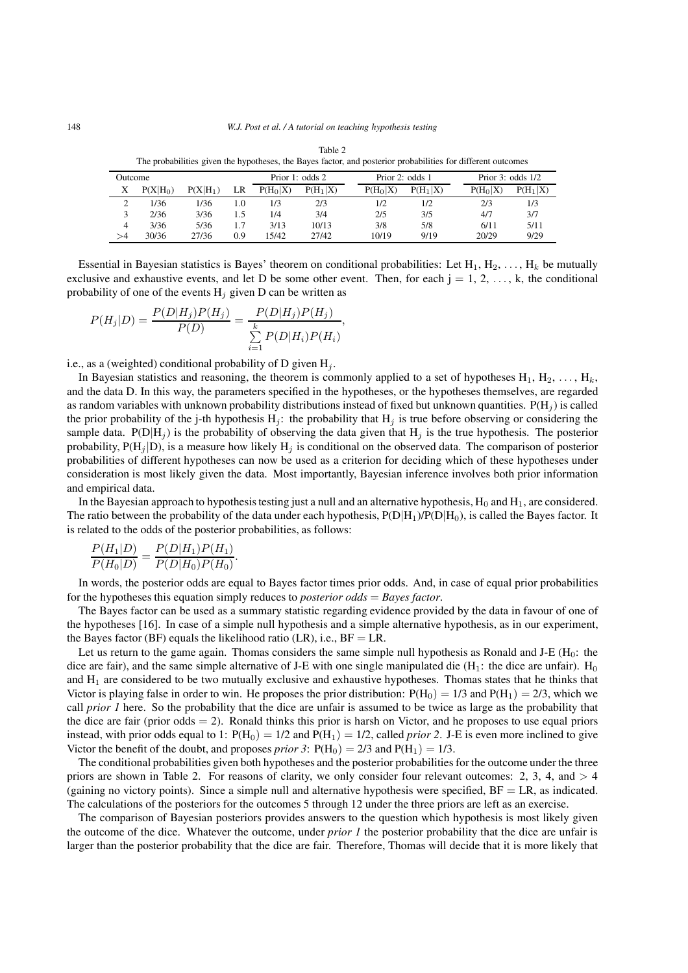| The procedurited gravitate in protection, the Bu/co recent, and posterior procedurited for anterestic categorite |            |            |                 |            |            |                 |            |                     |            |  |
|------------------------------------------------------------------------------------------------------------------|------------|------------|-----------------|------------|------------|-----------------|------------|---------------------|------------|--|
| Outcome                                                                                                          |            |            | Prior 1: odds 2 |            |            | Prior 2: odds 1 |            | Prior 3: odds $1/2$ |            |  |
| Х                                                                                                                | $P(X H_0)$ | $P(X H_1)$ | LR              | $P(H_0 X)$ | $P(H_1 X)$ | $P(H_0 X)$      | $P(H_1 X)$ | $P(H_0 X)$          | $P(H_1 X)$ |  |
|                                                                                                                  | 1/36       | 1/36       | 1.0             | 1/3        | 2/3        | 1/2             | 1/2        | 2/3                 | 1/3        |  |
|                                                                                                                  | 2/36       | 3/36       | 1.5             | 1/4        | 3/4        | 2/5             | 3/5        | 4/7                 | 3/7        |  |
| 4                                                                                                                | 3/36       | 5/36       | 1.7             | 3/13       | 10/13      | 3/8             | 5/8        | 6/11                | 5/11       |  |
| >4                                                                                                               | 30/36      | 27/36      | 0.9             | 15/42      | 27/42      | 10/19           | 9/19       | 20/29               | 9/29       |  |

| Table 2                                                                                                      |  |
|--------------------------------------------------------------------------------------------------------------|--|
| The probabilities given the hypotheses, the Bayes factor, and posterior probabilities for different outcomes |  |

Essential in Bayesian statistics is Bayes' theorem on conditional probabilities: Let  $H_1, H_2, \ldots, H_k$  be mutually exclusive and exhaustive events, and let D be some other event. Then, for each  $j = 1, 2, ..., k$ , the conditional probability of one of the events  $H_j$  given D can be written as

,

$$
P(H_j|D) = \frac{P(D|H_j)P(H_j)}{P(D)} = \frac{P(D|H_j)P(H_j)}{\sum_{i=1}^{k} P(D|H_i)P(H_i)}
$$

i.e., as a (weighted) conditional probability of D given H*<sup>j</sup>* .

In Bayesian statistics and reasoning, the theorem is commonly applied to a set of hypotheses  $H_1, H_2, \ldots, H_k$ , and the data D. In this way, the parameters specified in the hypotheses, or the hypotheses themselves, are regarded as random variables with unknown probability distributions instead of fixed but unknown quantities.  $P(H_i)$  is called the prior probability of the j-th hypothesis  $H_j$ : the probability that  $H_j$  is true before observing or considering the sample data.  $P(D|H_j)$  is the probability of observing the data given that  $H_j$  is the true hypothesis. The posterior probability,  $P(H_j|D)$ , is a measure how likely  $H_j$  is conditional on the observed data. The comparison of posterior probabilities of different hypotheses can now be used as a criterion for deciding which of these hypotheses under consideration is most likely given the data. Most importantly, Bayesian inference involves both prior information and empirical data.

In the Bayesian approach to hypothesis testing just a null and an alternative hypothesis,  $H_0$  and  $H_1$ , are considered. The ratio between the probability of the data under each hypothesis,  $P(D|H_1)/P(D|H_0)$ , is called the Bayes factor. It is related to the odds of the posterior probabilities, as follows:

$$
\frac{P(H_1|D)}{P(H_0|D)} = \frac{P(D|H_1)P(H_1)}{P(D|H_0)P(H_0)}.
$$

In words, the posterior odds are equal to Bayes factor times prior odds. And, in case of equal prior probabilities for the hypotheses this equation simply reduces to *posterior odds* = *Bayes factor*.

The Bayes factor can be used as a summary statistic regarding evidence provided by the data in favour of one of the hypotheses [16]. In case of a simple null hypothesis and a simple alternative hypothesis, as in our experiment, the Bayes factor (BF) equals the likelihood ratio (LR), i.e.,  $BF = LR$ .

Let us return to the game again. Thomas considers the same simple null hypothesis as Ronald and J-E ( $H_0$ : the dice are fair), and the same simple alternative of J-E with one single manipulated die (H<sub>1</sub>: the dice are unfair). H<sub>0</sub> and  $H_1$  are considered to be two mutually exclusive and exhaustive hypotheses. Thomas states that he thinks that Victor is playing false in order to win. He proposes the prior distribution:  $P(H_0) = 1/3$  and  $P(H_1) = 2/3$ , which we call *prior 1* here. So the probability that the dice are unfair is assumed to be twice as large as the probability that the dice are fair (prior odds  $= 2$ ). Ronald thinks this prior is harsh on Victor, and he proposes to use equal priors instead, with prior odds equal to 1:  $P(H_0) = 1/2$  and  $P(H_1) = 1/2$ , called *prior* 2. J-E is even more inclined to give Victor the benefit of the doubt, and proposes *prior* 3:  $P(H_0) = 2/3$  and  $P(H_1) = 1/3$ .

The conditional probabilities given both hypotheses and the posterior probabilities for the outcome under the three priors are shown in Table 2. For reasons of clarity, we only consider four relevant outcomes: 2, 3, 4, and  $> 4$ (gaining no victory points). Since a simple null and alternative hypothesis were specified,  $BF = LR$ , as indicated. The calculations of the posteriors for the outcomes 5 through 12 under the three priors are left as an exercise.

The comparison of Bayesian posteriors provides answers to the question which hypothesis is most likely given the outcome of the dice. Whatever the outcome, under *prior 1* the posterior probability that the dice are unfair is larger than the posterior probability that the dice are fair. Therefore, Thomas will decide that it is more likely that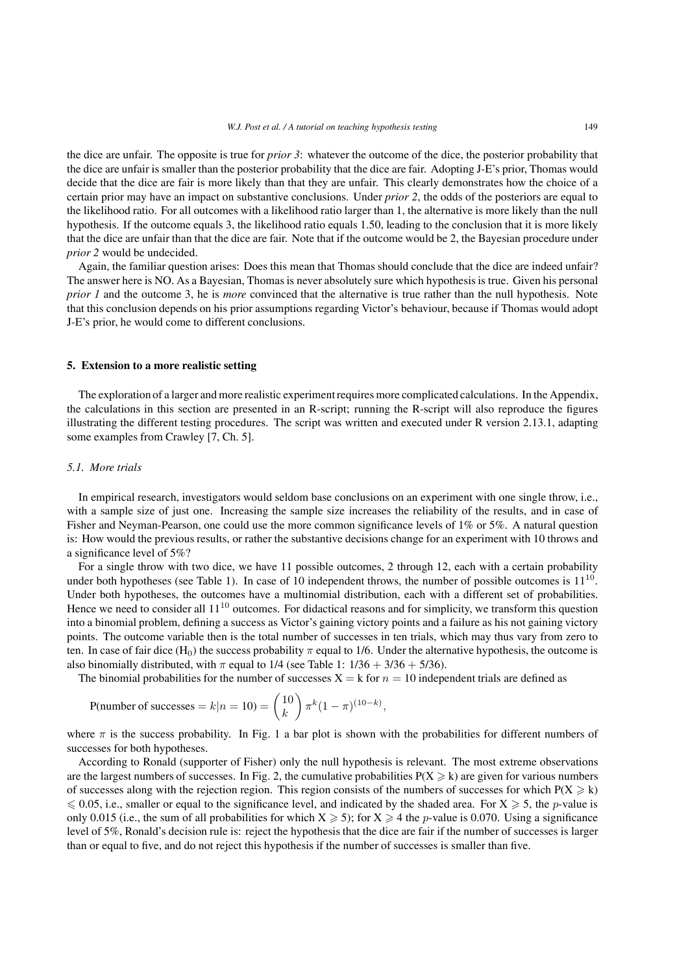the dice are unfair. The opposite is true for *prior 3*: whatever the outcome of the dice, the posterior probability that the dice are unfair is smaller than the posterior probability that the dice are fair. Adopting J-E's prior, Thomas would decide that the dice are fair is more likely than that they are unfair. This clearly demonstrates how the choice of a certain prior may have an impact on substantive conclusions. Under *prior 2*, the odds of the posteriors are equal to the likelihood ratio. For all outcomes with a likelihood ratio larger than 1, the alternative is more likely than the null hypothesis. If the outcome equals 3, the likelihood ratio equals 1.50, leading to the conclusion that it is more likely that the dice are unfair than that the dice are fair. Note that if the outcome would be 2, the Bayesian procedure under *prior 2* would be undecided.

Again, the familiar question arises: Does this mean that Thomas should conclude that the dice are indeed unfair? The answer here is NO. As a Bayesian, Thomas is never absolutely sure which hypothesis is true. Given his personal *prior 1* and the outcome 3, he is *more* convinced that the alternative is true rather than the null hypothesis. Note that this conclusion depends on his prior assumptions regarding Victor's behaviour, because if Thomas would adopt J-E's prior, he would come to different conclusions.

#### **5. Extension to a more realistic setting**

The exploration of a larger and more realistic experiment requires more complicated calculations. In the Appendix, the calculations in this section are presented in an R-script; running the R-script will also reproduce the figures illustrating the different testing procedures. The script was written and executed under R version 2.13.1, adapting some examples from Crawley [7, Ch. 5].

# *5.1. More trials*

In empirical research, investigators would seldom base conclusions on an experiment with one single throw, i.e., with a sample size of just one. Increasing the sample size increases the reliability of the results, and in case of Fisher and Neyman-Pearson, one could use the more common significance levels of 1% or 5%. A natural question is: How would the previous results, or rather the substantive decisions change for an experiment with 10 throws and a significance level of 5%?

For a single throw with two dice, we have 11 possible outcomes, 2 through 12, each with a certain probability under both hypotheses (see Table 1). In case of 10 independent throws, the number of possible outcomes is  $11^{10}$ . Under both hypotheses, the outcomes have a multinomial distribution, each with a different set of probabilities. Hence we need to consider all  $11^{10}$  outcomes. For didactical reasons and for simplicity, we transform this question into a binomial problem, defining a success as Victor's gaining victory points and a failure as his not gaining victory points. The outcome variable then is the total number of successes in ten trials, which may thus vary from zero to ten. In case of fair dice (H<sub>0</sub>) the success probability  $\pi$  equal to 1/6. Under the alternative hypothesis, the outcome is also binomially distributed, with  $\pi$  equal to 1/4 (see Table 1: 1/36 + 3/36 + 5/36).

The binomial probabilities for the number of successes  $X = k$  for  $n = 10$  independent trials are defined as

$$
P(\text{number of successes} = k | n = 10) = {10 \choose k} \pi^{k} (1 - \pi)^{(10 - k)},
$$

where  $\pi$  is the success probability. In Fig. 1 a bar plot is shown with the probabilities for different numbers of successes for both hypotheses.

According to Ronald (supporter of Fisher) only the null hypothesis is relevant. The most extreme observations are the largest numbers of successes. In Fig. 2, the cumulative probabilities  $P(X \ge k)$  are given for various numbers of successes along with the rejection region. This region consists of the numbers of successes for which  $P(X \ge k)$  $\leq 0.05$ , i.e., smaller or equal to the significance level, and indicated by the shaded area. For  $X \geq 5$ , the p-value is only 0.015 (i.e., the sum of all probabilities for which  $X \ge 5$ ); for  $X \ge 4$  the *p*-value is 0.070. Using a significance level of 5%, Ronald's decision rule is: reject the hypothesis that the dice are fair if the number of successes is larger than or equal to five, and do not reject this hypothesis if the number of successes is smaller than five.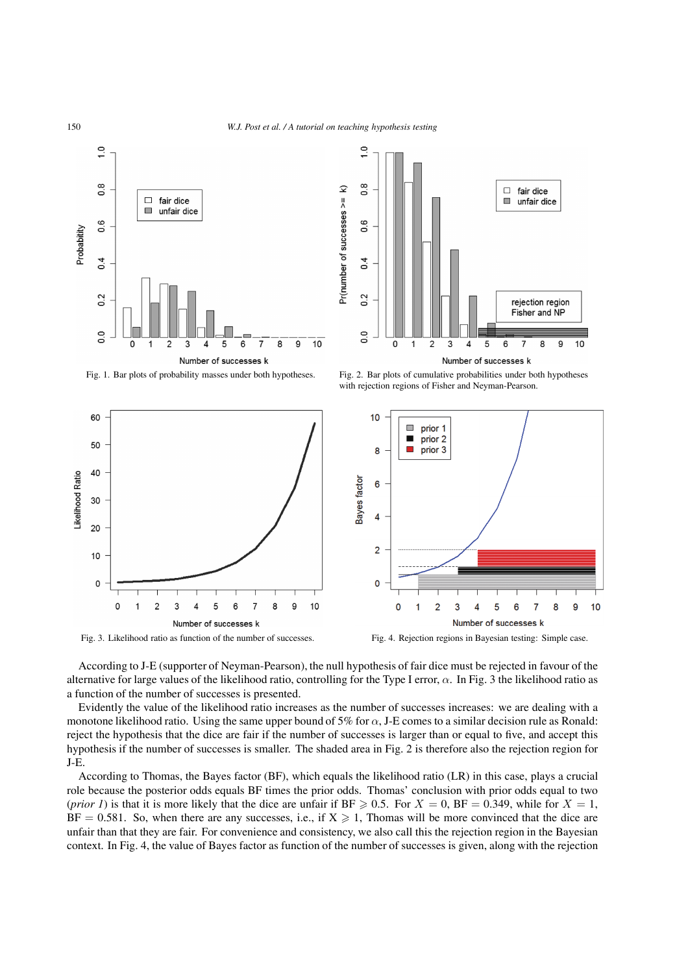



Fig. 1. Bar plots of probability masses under both hypotheses. Fig. 2. Bar plots of cumulative probabilities under both hypotheses with rejection regions of Fisher and Neyman-Pearson.



According to J-E (supporter of Neyman-Pearson), the null hypothesis of fair dice must be rejected in favour of the alternative for large values of the likelihood ratio, controlling for the Type I error,  $\alpha$ . In Fig. 3 the likelihood ratio as a function of the number of successes is presented.

Evidently the value of the likelihood ratio increases as the number of successes increases: we are dealing with a monotone likelihood ratio. Using the same upper bound of 5% for  $\alpha$ , J-E comes to a similar decision rule as Ronald: reject the hypothesis that the dice are fair if the number of successes is larger than or equal to five, and accept this hypothesis if the number of successes is smaller. The shaded area in Fig. 2 is therefore also the rejection region for J-E.

According to Thomas, the Bayes factor (BF), which equals the likelihood ratio (LR) in this case, plays a crucial role because the posterior odds equals BF times the prior odds. Thomas' conclusion with prior odds equal to two (*prior 1*) is that it is more likely that the dice are unfair if  $BF \ge 0.5$ . For  $X = 0$ ,  $BF = 0.349$ , while for  $X = 1$ ,  $BF = 0.581$ . So, when there are any successes, i.e., if  $X \ge 1$ , Thomas will be more convinced that the dice are unfair than that they are fair. For convenience and consistency, we also call this the rejection region in the Bayesian context. In Fig. 4, the value of Bayes factor as function of the number of successes is given, along with the rejection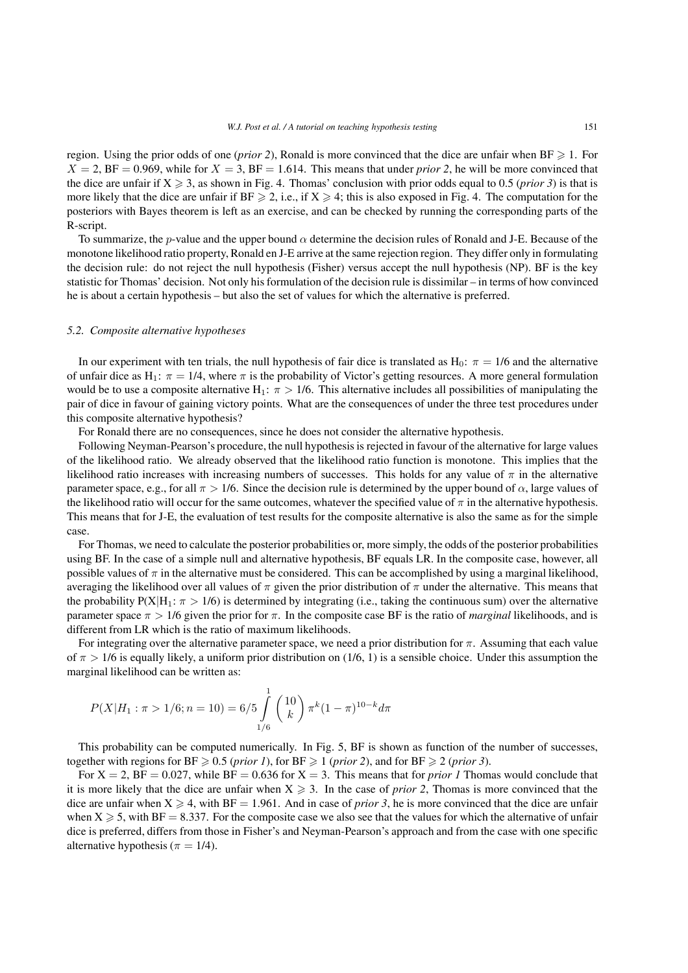region. Using the prior odds of one (*prior 2*), Ronald is more convinced that the dice are unfair when  $BF \geq 1$ . For  $X = 2$ , BF = 0.969, while for  $X = 3$ , BF = 1.614. This means that under *prior* 2, he will be more convinced that the dice are unfair if  $X \ge 3$ , as shown in Fig. 4. Thomas' conclusion with prior odds equal to 0.5 (*prior 3*) is that is more likely that the dice are unfair if  $BF \ge 2$ , i.e., if  $X \ge 4$ ; this is also exposed in Fig. 4. The computation for the posteriors with Bayes theorem is left as an exercise, and can be checked by running the corresponding parts of the R-script.

To summarize, the p-value and the upper bound  $\alpha$  determine the decision rules of Ronald and J-E. Because of the monotone likelihood ratio property, Ronald en J-E arrive at the same rejection region. They differ only in formulating the decision rule: do not reject the null hypothesis (Fisher) versus accept the null hypothesis (NP). BF is the key statistic for Thomas' decision. Not only his formulation of the decision rule is dissimilar – in terms of how convinced he is about a certain hypothesis – but also the set of values for which the alternative is preferred.

# *5.2. Composite alternative hypotheses*

In our experiment with ten trials, the null hypothesis of fair dice is translated as  $H_0$ :  $\pi = 1/6$  and the alternative of unfair dice as H<sub>1</sub>:  $\pi = 1/4$ , where  $\pi$  is the probability of Victor's getting resources. A more general formulation would be to use a composite alternative H<sub>1</sub>:  $\pi$  > 1/6. This alternative includes all possibilities of manipulating the pair of dice in favour of gaining victory points. What are the consequences of under the three test procedures under this composite alternative hypothesis?

For Ronald there are no consequences, since he does not consider the alternative hypothesis.

Following Neyman-Pearson's procedure, the null hypothesis is rejected in favour of the alternative for large values of the likelihood ratio. We already observed that the likelihood ratio function is monotone. This implies that the likelihood ratio increases with increasing numbers of successes. This holds for any value of  $\pi$  in the alternative parameter space, e.g., for all  $\pi > 1/6$ . Since the decision rule is determined by the upper bound of  $\alpha$ , large values of the likelihood ratio will occur for the same outcomes, whatever the specified value of  $\pi$  in the alternative hypothesis. This means that for J-E, the evaluation of test results for the composite alternative is also the same as for the simple case.

For Thomas, we need to calculate the posterior probabilities or, more simply, the odds of the posterior probabilities using BF. In the case of a simple null and alternative hypothesis, BF equals LR. In the composite case, however, all possible values of  $\pi$  in the alternative must be considered. This can be accomplished by using a marginal likelihood, averaging the likelihood over all values of  $\pi$  given the prior distribution of  $\pi$  under the alternative. This means that the probability  $P(X|H_1: \pi > 1/6)$  is determined by integrating (i.e., taking the continuous sum) over the alternative parameter space π > 1/6 given the prior for π. In the composite case BF is the ratio of *marginal* likelihoods, and is different from LR which is the ratio of maximum likelihoods.

For integrating over the alternative parameter space, we need a prior distribution for  $\pi$ . Assuming that each value of  $\pi > 1/6$  is equally likely, a uniform prior distribution on (1/6, 1) is a sensible choice. Under this assumption the marginal likelihood can be written as:

$$
P(X|H_1: \pi > 1/6; n = 10) = 6/5 \int_{1/6}^{1} {10 \choose k} \pi^k (1 - \pi)^{10 - k} d\pi
$$

This probability can be computed numerically. In Fig. 5, BF is shown as function of the number of successes, together with regions for  $BF \geq 0.5$  (*prior 1*), for  $BF \geq 1$  (*prior 2*), and for  $BF \geq 2$  (*prior 3*).

For  $X = 2$ ,  $BF = 0.027$ , while  $BF = 0.636$  for  $X = 3$ . This means that for *prior 1* Thomas would conclude that it is more likely that the dice are unfair when  $X \ge 3$ . In the case of *prior* 2, Thomas is more convinced that the dice are unfair when  $X \ge 4$ , with  $BF = 1.961$ . And in case of *prior 3*, he is more convinced that the dice are unfair when  $X \ge 5$ , with BF = 8.337. For the composite case we also see that the values for which the alternative of unfair dice is preferred, differs from those in Fisher's and Neyman-Pearson's approach and from the case with one specific alternative hypothesis ( $\pi = 1/4$ ).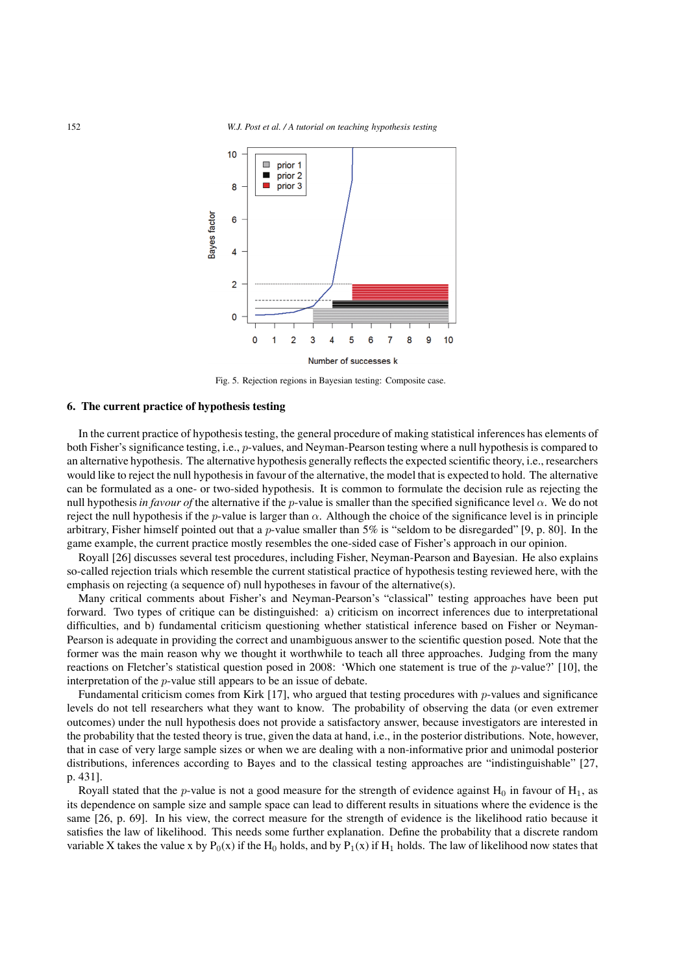

Fig. 5. Rejection regions in Bayesian testing: Composite case.

# **6. The current practice of hypothesis testing**

In the current practice of hypothesis testing, the general procedure of making statistical inferences has elements of both Fisher's significance testing, i.e., p-values, and Neyman-Pearson testing where a null hypothesis is compared to an alternative hypothesis. The alternative hypothesis generally reflects the expected scientific theory, i.e., researchers would like to reject the null hypothesis in favour of the alternative, the model that is expected to hold. The alternative can be formulated as a one- or two-sided hypothesis. It is common to formulate the decision rule as rejecting the null hypothesis *in favour of* the alternative if the *p*-value is smaller than the specified significance level  $\alpha$ . We do not reject the null hypothesis if the p-value is larger than  $\alpha$ . Although the choice of the significance level is in principle arbitrary, Fisher himself pointed out that a *p*-value smaller than 5% is "seldom to be disregarded" [9, p. 80]. In the game example, the current practice mostly resembles the one-sided case of Fisher's approach in our opinion.

Royall [26] discusses several test procedures, including Fisher, Neyman-Pearson and Bayesian. He also explains so-called rejection trials which resemble the current statistical practice of hypothesis testing reviewed here, with the emphasis on rejecting (a sequence of) null hypotheses in favour of the alternative(s).

Many critical comments about Fisher's and Neyman-Pearson's "classical" testing approaches have been put forward. Two types of critique can be distinguished: a) criticism on incorrect inferences due to interpretational difficulties, and b) fundamental criticism questioning whether statistical inference based on Fisher or Neyman-Pearson is adequate in providing the correct and unambiguous answer to the scientific question posed. Note that the former was the main reason why we thought it worthwhile to teach all three approaches. Judging from the many reactions on Fletcher's statistical question posed in 2008: 'Which one statement is true of the p-value?' [10], the interpretation of the p-value still appears to be an issue of debate.

Fundamental criticism comes from Kirk  $[17]$ , who argued that testing procedures with p-values and significance levels do not tell researchers what they want to know. The probability of observing the data (or even extremer outcomes) under the null hypothesis does not provide a satisfactory answer, because investigators are interested in the probability that the tested theory is true, given the data at hand, i.e., in the posterior distributions. Note, however, that in case of very large sample sizes or when we are dealing with a non-informative prior and unimodal posterior distributions, inferences according to Bayes and to the classical testing approaches are "indistinguishable" [27, p. 431].

Royall stated that the *p*-value is not a good measure for the strength of evidence against H<sub>0</sub> in favour of H<sub>1</sub>, as its dependence on sample size and sample space can lead to different results in situations where the evidence is the same [26, p. 69]. In his view, the correct measure for the strength of evidence is the likelihood ratio because it satisfies the law of likelihood. This needs some further explanation. Define the probability that a discrete random variable X takes the value x by  $P_0(x)$  if the H<sub>0</sub> holds, and by  $P_1(x)$  if H<sub>1</sub> holds. The law of likelihood now states that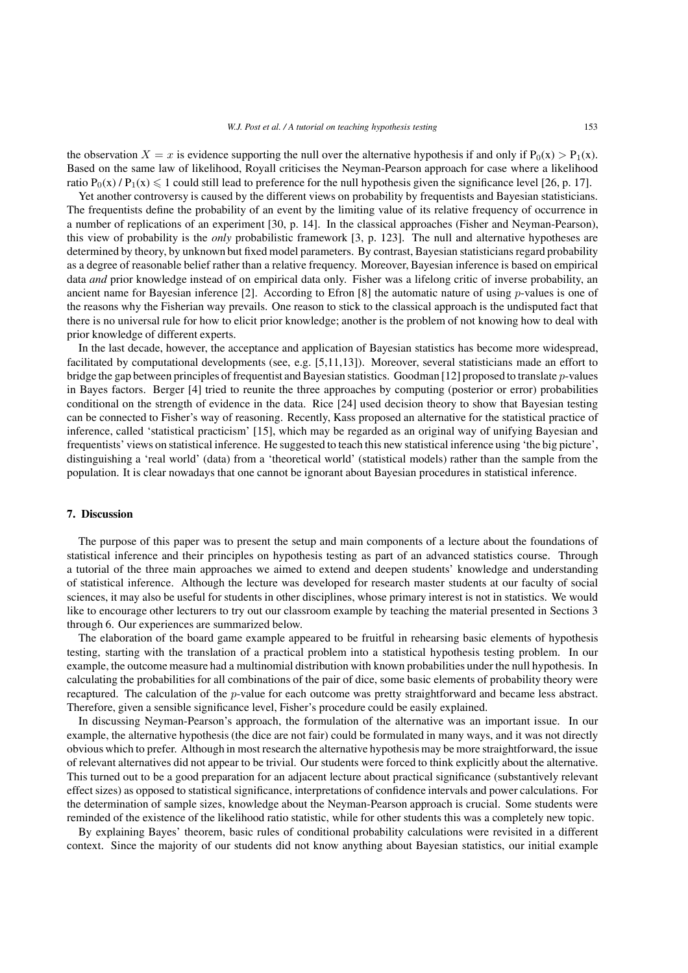the observation  $X = x$  is evidence supporting the null over the alternative hypothesis if and only if  $P_0(x) > P_1(x)$ . Based on the same law of likelihood, Royall criticises the Neyman-Pearson approach for case where a likelihood ratio  $P_0(x)$  /  $P_1(x) \le 1$  could still lead to preference for the null hypothesis given the significance level [26, p. 17].

Yet another controversy is caused by the different views on probability by frequentists and Bayesian statisticians. The frequentists define the probability of an event by the limiting value of its relative frequency of occurrence in a number of replications of an experiment [30, p. 14]. In the classical approaches (Fisher and Neyman-Pearson), this view of probability is the *only* probabilistic framework [3, p. 123]. The null and alternative hypotheses are determined by theory, by unknown but fixed model parameters. By contrast, Bayesian statisticians regard probability as a degree of reasonable belief rather than a relative frequency. Moreover, Bayesian inference is based on empirical data *and* prior knowledge instead of on empirical data only. Fisher was a lifelong critic of inverse probability, an ancient name for Bayesian inference [2]. According to Efron [8] the automatic nature of using  $p$ -values is one of the reasons why the Fisherian way prevails. One reason to stick to the classical approach is the undisputed fact that there is no universal rule for how to elicit prior knowledge; another is the problem of not knowing how to deal with prior knowledge of different experts.

In the last decade, however, the acceptance and application of Bayesian statistics has become more widespread, facilitated by computational developments (see, e.g. [5,11,13]). Moreover, several statisticians made an effort to bridge the gap between principles of frequentist and Bayesian statistics. Goodman [12] proposed to translate p-values in Bayes factors. Berger [4] tried to reunite the three approaches by computing (posterior or error) probabilities conditional on the strength of evidence in the data. Rice [24] used decision theory to show that Bayesian testing can be connected to Fisher's way of reasoning. Recently, Kass proposed an alternative for the statistical practice of inference, called 'statistical practicism' [15], which may be regarded as an original way of unifying Bayesian and frequentists' views on statistical inference. He suggested to teach this new statistical inference using 'the big picture', distinguishing a 'real world' (data) from a 'theoretical world' (statistical models) rather than the sample from the population. It is clear nowadays that one cannot be ignorant about Bayesian procedures in statistical inference.

# **7. Discussion**

The purpose of this paper was to present the setup and main components of a lecture about the foundations of statistical inference and their principles on hypothesis testing as part of an advanced statistics course. Through a tutorial of the three main approaches we aimed to extend and deepen students' knowledge and understanding of statistical inference. Although the lecture was developed for research master students at our faculty of social sciences, it may also be useful for students in other disciplines, whose primary interest is not in statistics. We would like to encourage other lecturers to try out our classroom example by teaching the material presented in Sections 3 through 6. Our experiences are summarized below.

The elaboration of the board game example appeared to be fruitful in rehearsing basic elements of hypothesis testing, starting with the translation of a practical problem into a statistical hypothesis testing problem. In our example, the outcome measure had a multinomial distribution with known probabilities under the null hypothesis. In calculating the probabilities for all combinations of the pair of dice, some basic elements of probability theory were recaptured. The calculation of the p-value for each outcome was pretty straightforward and became less abstract. Therefore, given a sensible significance level, Fisher's procedure could be easily explained.

In discussing Neyman-Pearson's approach, the formulation of the alternative was an important issue. In our example, the alternative hypothesis (the dice are not fair) could be formulated in many ways, and it was not directly obvious which to prefer. Although in most research the alternative hypothesis may be more straightforward, the issue of relevant alternatives did not appear to be trivial. Our students were forced to think explicitly about the alternative. This turned out to be a good preparation for an adjacent lecture about practical significance (substantively relevant effect sizes) as opposed to statistical significance, interpretations of confidence intervals and power calculations. For the determination of sample sizes, knowledge about the Neyman-Pearson approach is crucial. Some students were reminded of the existence of the likelihood ratio statistic, while for other students this was a completely new topic.

By explaining Bayes' theorem, basic rules of conditional probability calculations were revisited in a different context. Since the majority of our students did not know anything about Bayesian statistics, our initial example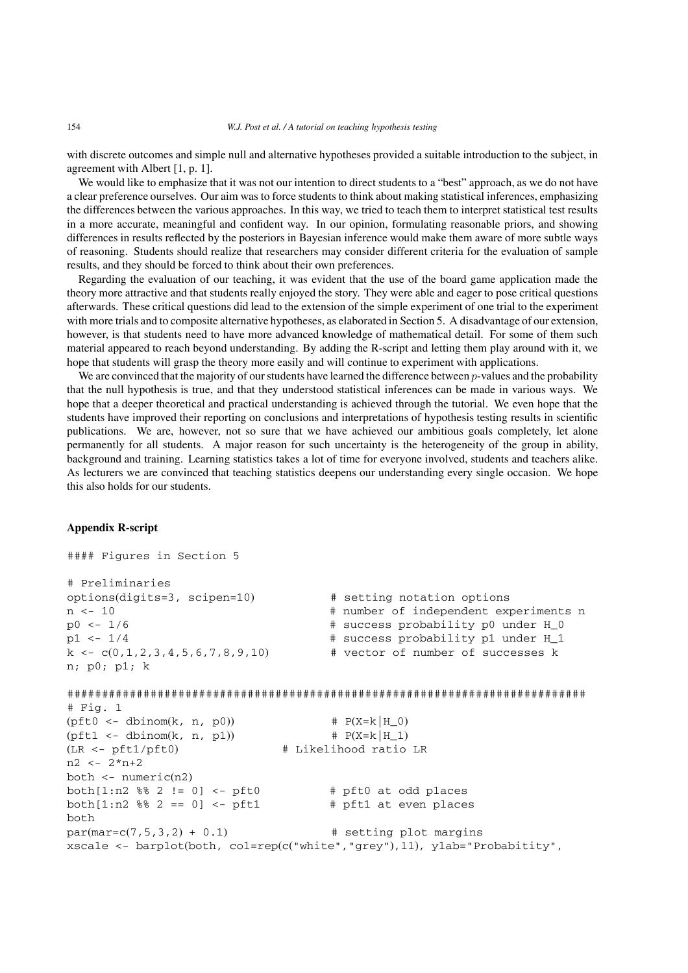with discrete outcomes and simple null and alternative hypotheses provided a suitable introduction to the subject, in agreement with Albert [1, p. 1].

We would like to emphasize that it was not our intention to direct students to a "best" approach, as we do not have a clear preference ourselves. Our aim was to force students to think about making statistical inferences, emphasizing the differences between the various approaches. In this way, we tried to teach them to interpret statistical test results in a more accurate, meaningful and confident way. In our opinion, formulating reasonable priors, and showing differences in results reflected by the posteriors in Bayesian inference would make them aware of more subtle ways of reasoning. Students should realize that researchers may consider different criteria for the evaluation of sample results, and they should be forced to think about their own preferences.

Regarding the evaluation of our teaching, it was evident that the use of the board game application made the theory more attractive and that students really enjoyed the story. They were able and eager to pose critical questions afterwards. These critical questions did lead to the extension of the simple experiment of one trial to the experiment with more trials and to composite alternative hypotheses, as elaborated in Section 5. A disadvantage of our extension, however, is that students need to have more advanced knowledge of mathematical detail. For some of them such material appeared to reach beyond understanding. By adding the R-script and letting them play around with it, we hope that students will grasp the theory more easily and will continue to experiment with applications.

We are convinced that the majority of our students have learned the difference between  $p$ -values and the probability that the null hypothesis is true, and that they understood statistical inferences can be made in various ways. We hope that a deeper theoretical and practical understanding is achieved through the tutorial. We even hope that the students have improved their reporting on conclusions and interpretations of hypothesis testing results in scientific publications. We are, however, not so sure that we have achieved our ambitious goals completely, let alone permanently for all students. A major reason for such uncertainty is the heterogeneity of the group in ability, background and training. Learning statistics takes a lot of time for everyone involved, students and teachers alike. As lecturers we are convinced that teaching statistics deepens our understanding every single occasion. We hope this also holds for our students.

# **Appendix R-script**

```
#### Figures in Section 5
# Preliminaries
options(digits=3, scipen=10) # setting notation options
n <- 10 + number of independent experiments n
p0 \leftarrow 1/6 \leftarrow 1/6 \leftarrow 1/6 \leftarrow 1/6 \leftarrow 1/6 \leftarrow 1/6 \leftarrow 1/6 \leftarrow 1/6 \leftarrow 1/6 \leftarrow 1/6 \leftarrow 1/6 \leftarrow 1/6 \leftarrow 1/6 \leftarrow 1/6 \leftarrow 1/6 \leftarrow 1/6 \leftarrow 1/6 \leftarrow 1/6 \leftarrow 1/6 \leftarrow 1/6 \leftarrow 1/6 \leftarrow 1/
p1 <- 1/4 + success probability p1 under H_1
k \leq -c(0,1,2,3,4,5,6,7,8,9,10) # vector of number of successes k
n; p0; p1; k
###########################################################################
# Fig. 1
(pft0 < - dbinom(k, n, p0) # P(X=k|H_0)(pft1 \leftarrow \text{dbinom}(k, n, p1)) # P(X=k|H_1)(LR <- pft1/pft0) # Likelihood ratio LR
n2 <- 2*n+2
both <- numeric(n2)
both[1:n2 \, 88 \, 2] = 0] <- pft0 \qquad # pft0 at odd places
both[1:n2 88 2 == 0] < -pft1 # pft1 at even places
both
par(max=c(7,5,3,2) + 0.1) # setting plot margins
xscale <- barplot(both, col=rep(c("white","grey"),11), ylab="Probabitity",
```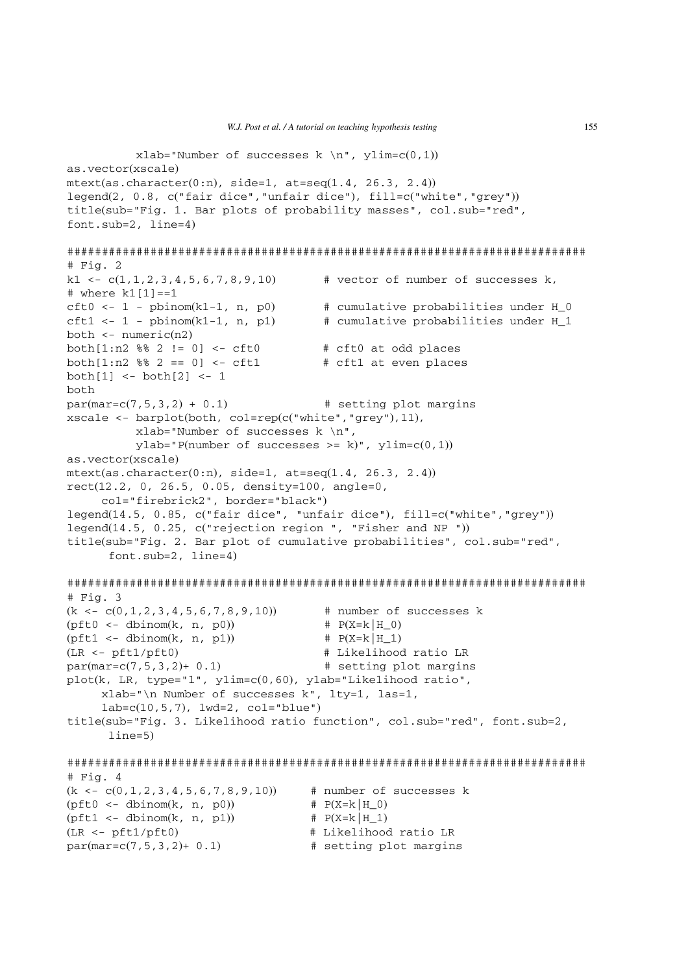xlab="Number of successes  $k \nightharpoonup n$ ", ylim=c(0,1)) as.vector(xscale) mtext(as.character(0:n), side=1, at=seq(1.4, 26.3, 2.4)) legend(2, 0.8, c("fair dice","unfair dice"), fill=c("white","grey")) title(sub="Fig. 1. Bar plots of probability masses", col.sub="red", font.sub=2, line=4) ########################################################################### # Fig. 2 k1 <-  $c(1, 1, 2, 3, 4, 5, 6, 7, 8, 9, 10)$  # vector of number of successes k, # where k1[1]==1 cft0 <- 1 - pbinom(k1-1, n, p0)  $\qquad$  # cumulative probabilities under H 0 cft1 <- 1 - pbinom(k1-1, n, p1)  $\qquad$  # cumulative probabilities under H 1 both <- numeric(n2) both $[1:n2 \, 88 \, 2 \, ! = 0]$  <- cft0  $*$  eft0 at odd places both $[1:n2 88 2 == 0]$  <- cft1 # cft1 at even places  $both[1] < - both[2] < -1$ both  $par(max=c(7,5,3,2) + 0.1)$  # setting plot margins xscale  $\leq$  barplot(both, col=rep(c("white", "grey"), 11), xlab="Number of successes k \n",  $y$ lab="P(number of successes >= k)",  $y$ lim=c(0,1)) as.vector(xscale)  $metext(as. character(0:n), side=1, at=seq(1.4, 26.3, 2.4))$ rect(12.2, 0, 26.5, 0.05, density=100, angle=0, col="firebrick2", border="black") legend(14.5, 0.85, c("fair dice", "unfair dice"), fill=c("white","grey")) legend(14.5, 0.25, c("rejection region ", "Fisher and NP ")) title(sub="Fig. 2. Bar plot of cumulative probabilities", col.sub="red", font.sub=2, line=4) ########################################################################### # Fig. 3  $(k \leq -c(0,1,2,3,4,5,6,7,8,9,10))$  # number of successes k  $(pft0 \leq - \text{dbinom}(k, n, p0))$  #  $P(X=k|H_0)$  $(pft1 \leq - \text{dbinom}(k, n, p1))$  #  $P(X=k|H_1)$ (LR <- pft1/pft0) # Likelihood ratio LR  $par(max=c(7,5,3,2)+ 0.1)$  # setting plot margins plot(k, LR, type="l", ylim=c(0,60), ylab="Likelihood ratio", xlab="\n Number of successes k", lty=1, las=1,  $lab = c(10, 5, 7)$ ,  $1wd = 2$ ,  $col = "blue")$ title(sub="Fig. 3. Likelihood ratio function", col.sub="red", font.sub=2, line=5) ########################################################################### # Fig. 4  $(k \leq -c(0,1,2,3,4,5,6,7,8,9,10))$  # number of successes k (pft0 <- dbinom(k, n, p0))  $# P(X=k|H_0)$ <br>(pft1 <- dbinom(k, n, p1))  $# P(X=k|H_1)$  $(pft1 < - dhinom(k, n, p1))$ (LR <- pft1/pft0) # Likelihood ratio LR  $par(max=c(7,5,3,2)+ 0.1)$  # setting plot margins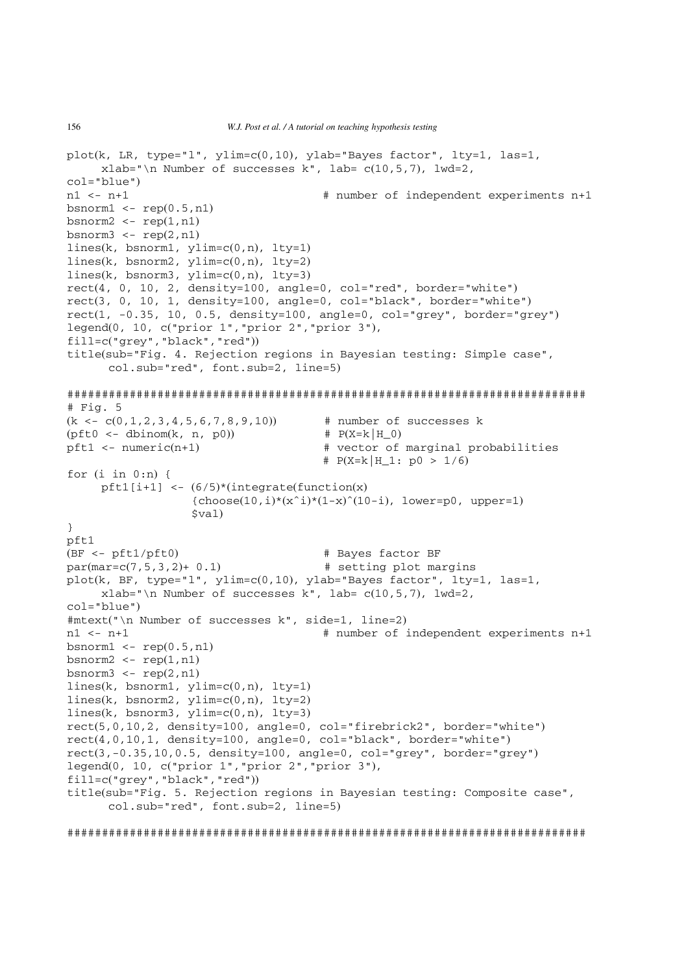```
plot(k, \text{ LR}, \text{ type} = "1", \text{ ylim} = c(0,10), \text{ ylabel}"Bayes factor", lty=1, las=1,
     xlab="\n Number of successes k", lab= c(10, 5, 7), lwd=2,
col="blue")<br>n1 < -n+1# number of independent experiments n+1
bsnorm1 \leq -\text{rep}(0.5, n1)bsnorm2 < -\text{rep}(1,n1)bsnorm3 \leq -\text{rep}(2,\text{n1})lines(k, bsnorm1, ylim=c(0,n), lty=1)
lines(k, bsnorm2, ylim=c(0,n), lty=2)
lines(k, bsnorm3, ylim=c(0, n), lty=3)
rect(4, 0, 10, 2, density=100, angle=0, col="red", border="white")
rect(3, 0, 10, 1, density=100, angle=0, col="black", border="white")
rect(1, -0.35, 10, 0.5, density=100, angle=0, col="grey", border="grey")
legend(0, 10, c("prior 1","prior 2","prior 3"),
fill=c("grey","black","red"))
title(sub="Fig. 4. Rejection regions in Bayesian testing: Simple case",
      col.sub="red", font.sub=2, line=5)
###########################################################################
# Fig. 5
(k \leq -c(0,1,2,3,4,5,6,7,8,9,10)) # number of successes k
(pft0 \leq - \text{dbinom}(k, n, p0)) # P(X=k|H_0)pft1 <- numeric(n+1) \qquad # vector of marginal probabilities
                                        # P(X=k|H_1: p0 > 1/6)for (i \text{ in } 0:n) {
     pft1[i+1] <- (6/5)*(integrate(function(x)
                   {choose(10,i)*(x^i)*(1-x)(10-i)}, lower=p0, upper=1)
                   $val)}
pft1
(BF <- pft1/pft0) # Bayes factor BF
par(max=c(7,5,3,2)+ 0.1) # setting plot margins
plot(k, BF, type="1", \text{vlim} = c(0,10), \text{vlab} = \text{Bayes factor}", \text{ltv}=1, \text{las}=1,
     xlabel="name* Number of successes k", lab= c(10, 5, 7), lwd=2,
col="blue")
#mtext("\n Number of successes k", side=1, line=2)
n1 <- n+1 # number of independent experiments n+1
bsnorm1 \leq -\text{rep}(0.5, n1)bsnorm2 \leq -\text{rep}(1,n1)bsnorm3 \leq -\text{rep}(2,\text{n1})lines(k, bsnorm1, ylim=c(0,n), lty=1)
lines(k, bsnorm2, ylim=c(0,n), lty=2)
lines(k, bsnorm3, ylim=c(0,n), lty=3)
rect(5,0,10,2, density=100, angle=0, col="firebrick2", border="white")
rect(4,0,10,1, density=100, angle=0, col="black", border="white")
rect(3,-0.35,10,0.5, density=100, angle=0, col="grey", border="grey")legend(0, 10, c("prior 1","prior 2","prior 3"),
fill=c("grey","black","red"))
title(sub="Fig. 5. Rejection regions in Bayesian testing: Composite case",
      col.sub="red", font.sub=2, line=5)
###########################################################################
```